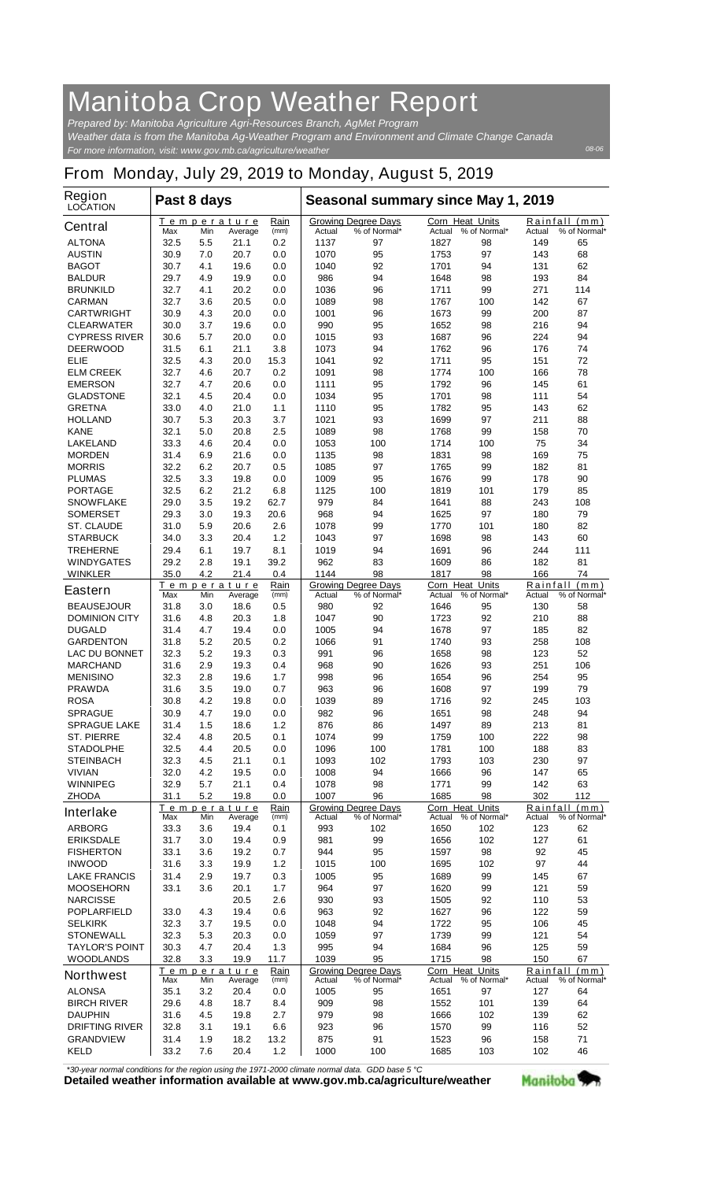## **Manitoba Crop Weather Report**

*For more information, visit: www.gov.mb.ca/agriculture/weather Prepared by: Manitoba Agriculture Agri-Resources Branch, AgMet Program Weather data is from the Manitoba Ag-Weather Program and Environment and Climate Change Canada*

## **From Monday, July 29, 2019 to Monday, August 5, 2019**

| <b>Region</b><br><b>LOCATION</b>    | Past 8 days  |                                                             |                               |              | Seasonal summary since May 1, 2019 |                                            |                                  |                                        |                 |                               |
|-------------------------------------|--------------|-------------------------------------------------------------|-------------------------------|--------------|------------------------------------|--------------------------------------------|----------------------------------|----------------------------------------|-----------------|-------------------------------|
| <b>Central</b>                      | Max          | Min                                                         | <b>Temperature</b><br>Average | Rain<br>(mm) | Actual                             | <b>Growing Degree Days</b><br>% of Normal* | <b>Corn Heat Units</b><br>Actual | % of Normal*                           | Actual          | Rainfall (mm)<br>% of Normal* |
| <b>ALTONA</b>                       | 32.5         | 5.5                                                         | 21.1                          | 0.2          | 1137                               | 97                                         | 1827                             | 98                                     | 149             | 65                            |
| <b>AUSTIN</b>                       | 30.9         | 7.0                                                         | 20.7                          | 0.0          | 1070                               | 95                                         | 1753                             | 97                                     | 143             | 68                            |
| <b>BAGOT</b>                        | 30.7         | 4.1                                                         | 19.6                          | 0.0          | 1040                               | 92                                         | 1701                             | 94                                     | 131             | 62                            |
| <b>BALDUR</b>                       | 29.7         | 4.9                                                         | 19.9                          | 0.0          | 986                                | 94                                         | 1648                             | 98                                     | 193             | 84                            |
| <b>BRUNKILD</b>                     | 32.7         | 4.1                                                         | 20.2                          | 0.0          | 1036                               | 96                                         | 1711                             | 99                                     | 271             | 114                           |
| <b>CARMAN</b>                       | 32.7         | 3.6                                                         | 20.5                          | 0.0          | 1089                               | 98                                         | 1767                             | 100                                    | 142             | 67                            |
| <b>CARTWRIGHT</b>                   | 30.9         | 4.3                                                         | 20.0                          | 0.0          | 1001                               | 96                                         | 1673                             | 99                                     | 200             | 87                            |
| <b>CLEARWATER</b>                   | 30.0         | 3.7                                                         | 19.6                          | 0.0          | 990                                | 95                                         | 1652                             | 98                                     | 216             | 94                            |
| <b>CYPRESS RIVER</b>                | 30.6         | 5.7                                                         | 20.0                          | 0.0          | 1015                               | 93                                         | 1687                             | 96                                     | 224             | 94                            |
| <b>DEERWOOD</b>                     | 31.5         | 6.1                                                         | 21.1                          | 3.8          | 1073                               | 94                                         | 1762                             | 96                                     | 176             | 74                            |
| ELIE<br><b>ELM CREEK</b>            | 32.5<br>32.7 | 4.3<br>4.6                                                  | 20.0<br>20.7                  | 15.3<br>0.2  | 1041<br>1091                       | 92<br>98                                   | 1711<br>1774                     | 95<br>100                              | 151<br>166      | 72<br>78                      |
| <b>EMERSON</b>                      | 32.7         | 4.7                                                         | 20.6                          | 0.0          | 1111                               | 95                                         | 1792                             | 96                                     | 145             | 61                            |
| <b>GLADSTONE</b>                    | 32.1         | 4.5                                                         | 20.4                          | 0.0          | 1034                               | 95                                         | 1701                             | 98                                     | 111             | 54                            |
| <b>GRETNA</b>                       | 33.0         | 4.0                                                         | 21.0                          | 1.1          | 1110                               | 95                                         | 1782                             | 95                                     | 143             | 62                            |
| <b>HOLLAND</b>                      | 30.7         | 5.3                                                         | 20.3                          | 3.7          | 1021                               | 93                                         | 1699                             | 97                                     | 211             | 88                            |
| <b>KANE</b>                         | 32.1         | 5.0                                                         | 20.8                          | 2.5          | 1089                               | 98                                         | 1768                             | 99                                     | 158             | 70                            |
| <b>LAKELAND</b>                     | 33.3         | 4.6                                                         | 20.4                          | 0.0          | 1053                               | 100                                        | 1714                             | 100                                    | 75              | 34                            |
| <b>MORDEN</b>                       | 31.4         | 6.9                                                         | 21.6                          | 0.0          | 1135                               | 98                                         | 1831                             | 98                                     | 169             | 75                            |
| <b>MORRIS</b>                       | 32.2         | 6.2                                                         | 20.7                          | 0.5          | 1085                               | 97                                         | 1765                             | 99                                     | 182             | 81                            |
| <b>PLUMAS</b>                       | 32.5         | 3.3                                                         | 19.8                          | 0.0          | 1009                               | 95                                         | 1676                             | 99                                     | 178             | 90                            |
| <b>PORTAGE</b>                      | 32.5         | 6.2                                                         | 21.2                          | 6.8          | 1125                               | 100                                        | 1819                             | 101                                    | 179             | 85                            |
| <b>SNOWFLAKE</b>                    | 29.0         | 3.5                                                         | 19.2                          | 62.7         | 979                                | 84                                         | 1641                             | 88                                     | 243             | 108                           |
| <b>SOMERSET</b>                     | 29.3         | 3.0                                                         | 19.3                          | 20.6         | 968                                | 94                                         | 1625                             | 97                                     | 180             | 79                            |
| <b>ST. CLAUDE</b>                   | 31.0         | 5.9                                                         | 20.6                          | 2.6          | 1078                               | 99                                         | 1770                             | 101                                    | 180             | 82                            |
| <b>STARBUCK</b>                     | 34.0         | 3.3                                                         | 20.4                          | 1.2          | 1043                               | 97                                         | 1698                             | 98                                     | 143             | 60                            |
| <b>TREHERNE</b>                     | 29.4         | 6.1<br>2.8                                                  | 19.7                          | 8.1          | 1019<br>962                        | 94                                         | 1691                             | 96                                     | 244<br>182      | 111<br>81                     |
| <b>WINDYGATES</b><br><b>WINKLER</b> | 29.2<br>35.0 | 4.2                                                         | 19.1<br>21.4                  | 39.2<br>0.4  | 1144                               | 83<br>98                                   | 1609<br>1817                     | 86<br>98                               | 166             | 74                            |
|                                     |              |                                                             | Temperature                   | Rain         |                                    | <b>Growing Degree Days</b>                 | <b>Corn Heat Units</b>           |                                        | Rainfall        | (mm)                          |
| <b>Eastern</b>                      | Max          | Min                                                         | Average                       | (mm)         | Actual                             | % of Normal*                               | Actual                           | % of Normal*                           | Actual          | % of Normal*                  |
| <b>BEAUSEJOUR</b>                   | 31.8         | 3.0                                                         | 18.6                          | 0.5          | 980                                | 92                                         | 1646                             | 95                                     | 130             | 58                            |
| <b>DOMINION CITY</b>                | 31.6         | 4.8                                                         | 20.3                          | 1.8          | 1047                               | 90                                         | 1723                             | 92                                     | 210             | 88                            |
| <b>DUGALD</b>                       | 31.4         | 4.7                                                         | 19.4                          | 0.0          | 1005                               | 94                                         | 1678                             | 97                                     | 185             | 82                            |
| <b>GARDENTON</b>                    | 31.8         | 5.2                                                         | 20.5                          | 0.2          | 1066                               | 91                                         | 1740                             | 93                                     | 258             | 108                           |
| <b>LAC DU BONNET</b>                | 32.3         | 5.2                                                         | 19.3                          | 0.3          | 991                                | 96                                         | 1658                             | 98                                     | 123             | 52                            |
| <b>MARCHAND</b>                     | 31.6         | 2.9                                                         | 19.3                          | 0.4          | 968                                | 90                                         | 1626                             | 93                                     | 251             | 106                           |
| <b>MENISINO</b><br><b>PRAWDA</b>    | 32.3<br>31.6 | 2.8<br>3.5                                                  | 19.6<br>19.0                  | 1.7<br>0.7   | 998<br>963                         | 96<br>96                                   | 1654<br>1608                     | 96<br>97                               | 254<br>199      | 95<br>79                      |
| <b>ROSA</b>                         | 30.8         | 4.2                                                         | 19.8                          | 0.0          | 1039                               | 89                                         | 1716                             | 92                                     | 245             | 103                           |
| <b>SPRAGUE</b>                      | 30.9         | 4.7                                                         | 19.0                          | 0.0          | 982                                | 96                                         | 1651                             | 98                                     | 248             | 94                            |
| <b>SPRAGUE LAKE</b>                 | 31.4         | 1.5                                                         | 18.6                          | $1.2$        | 876                                | 86                                         | 1497                             | 89                                     | 213             | 81                            |
| <b>ST. PIERRE</b>                   | 32.4         | 4.8                                                         | 20.5                          | 0.1          | 1074                               | 99                                         | 1759                             | 100                                    | 222             | 98                            |
| <b>STADOLPHE</b>                    | 32.5         | 4.4                                                         | 20.5                          | 0.0          | 1096                               | 100                                        | 1781                             | 100                                    | 188             | 83                            |
| <b>STEINBACH</b>                    | 32.3         | 4.5                                                         | 21.1                          | 0.1          | 1093                               | 102                                        | 1793                             | 103                                    | 230             | 97                            |
| <b>VIVIAN</b>                       | 32.0         | 4.2                                                         | 19.5                          | 0.0          | 1008                               | 94                                         | 1666                             | 96                                     | 147             | 65                            |
| <b>WINNIPEG</b>                     | 32.9         | 5.7                                                         | 21.1                          | 0.4          | 1078                               | 98                                         | 1771                             | 99                                     | 142             | 63                            |
| ZHODA                               | 31.1         | 5.2                                                         | 19.8                          | 0.0          | 1007                               | 96                                         | 1685                             | 98                                     | 302             | 112                           |
| <b>Interlake</b>                    | Max          | Min                                                         | Temperature<br>Average        | Rain<br>(mm) | <b>Actual</b>                      | <b>Growing Degree Days</b><br>% of Normal* | Corn Heat Units                  | Actual % of Normal*                    | Actual          | Rainfall (mm)<br>% of Normal* |
| <b>ARBORG</b>                       | 33.3         | 3.6                                                         | 19.4                          | 0.1          | 993                                | 102                                        | 1650                             | 102                                    | 123             | 62                            |
| <b>ERIKSDALE</b>                    | 31.7         | 3.0                                                         | 19.4                          | 0.9          | 981                                | 99                                         | 1656                             | 102                                    | 127             | 61                            |
| <b>FISHERTON</b>                    | 33.1         | 3.6                                                         | 19.2                          | 0.7          | 944                                | 95                                         | 1597                             | 98                                     | 92              | 45                            |
| <b>INWOOD</b>                       | 31.6         | 3.3                                                         | 19.9                          | $1.2$        | 1015                               | 100                                        | 1695                             | 102                                    | 97              | 44                            |
| <b>LAKE FRANCIS</b>                 | 31.4         | 2.9                                                         | 19.7                          | 0.3          | 1005                               | 95                                         | 1689                             | 99                                     | 145             | 67                            |
| <b>MOOSEHORN</b>                    | 33.1         | 3.6                                                         | 20.1                          | 1.7          | 964                                | 97                                         | 1620                             | 99                                     | 121             | 59                            |
| <b>NARCISSE</b>                     |              |                                                             | 20.5                          | 2.6          | 930                                | 93                                         | 1505                             | 92                                     | 110             | 53                            |
| <b>POPLARFIELD</b>                  | 33.0         | 4.3                                                         | 19.4                          | 0.6          | 963                                | 92                                         | 1627                             | 96                                     | 122             | 59                            |
| <b>SELKIRK</b>                      | 32.3         | 3.7                                                         | 19.5                          | 0.0          | 1048                               | 94                                         | 1722                             | 95                                     | 106             | 45                            |
| <b>STONEWALL</b>                    | 32.3         | 5.3                                                         | 20.3                          | 0.0          | 1059                               | 97                                         | 1739                             | 99                                     | 121             | 54                            |
| <b>TAYLOR'S POINT</b>               | 30.3         | 4.7                                                         | 20.4                          | 1.3          | 995<br>1039                        | 94<br>95                                   | 1684                             | 96                                     | 125             | 59                            |
| <b>WOODLANDS</b>                    | 32.8         | 3.3                                                         | 19.9                          | 11.7         |                                    | <b>Growing Degree Days</b>                 | 1715<br>Corn Heat Units          | 98                                     | 150<br>Rainfall | 67<br>(mm)                    |
| <b>Northwest</b>                    | Max          | <u>Temperature</u><br><u>Rain</u><br>Min<br>(mm)<br>Average |                               |              | Actual                             | % of Normal*                               | Actual                           | % of Normal*<br>Actual<br>% of Normal* |                 |                               |
| <b>ALONSA</b>                       | 35.1         | 3.2                                                         | 20.4                          | 0.0          | 1005                               | 95                                         | 1651                             | 97                                     | 127             | 64                            |
| <b>BIRCH RIVER</b>                  | 29.6         | 4.8                                                         | 18.7                          | 8.4          | 909                                | 98                                         | 1552                             | 101                                    | 139             | 64                            |
| <b>DAUPHIN</b>                      | 31.6         | 4.5                                                         | 19.8                          | 2.7          | 979                                | 98                                         | 1666                             | 102                                    | 139             | 62                            |
| <b>DRIFTING RIVER</b>               | 32.8         | 3.1                                                         | 19.1                          | 6.6          | 923                                | 96                                         | 1570                             | 99                                     | 116             | 52                            |
| <b>GRANDVIEW</b>                    | 31.4         | 1.9                                                         | 18.2                          | 13.2         | 875                                | 91                                         | 1523                             | 96                                     | 158             | 71                            |
| <b>KELD</b>                         | 33.2         | 7.6                                                         | 20.4                          | $1.2$        | 1000                               | 100                                        | 1685                             | 103                                    | 102             | 46                            |

*\*30-year normal conditions for the region using the 1971-2000 climate normal data. GDD base 5 °C*<br>Detailed weather information available at www.gov.mb.ca/agriculture/weather



*08-06*